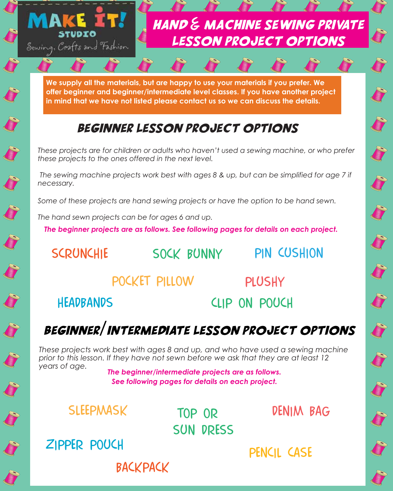

**We supply all the materials, but are happy to use your materials if you prefer. We offer beginner and beginner/intermediate level classes. If you have another project in mind that we have not listed please contact us so we can discuss the details.**

#### Beginner lesson project options

*These projects are for children or adults who haven't used a sewing machine, or who prefer these projects to the ones offered in the next level.* 

 *The sewing machine projects work best with ages 8 & up, but can be simplified for age 7 if necessary.*

*Some of these projects are hand sewing projects or have the option to be hand sewn.* 

*The hand sewn projects can be for ages 6 and up.*

*The beginner projects are as follows. See following pages for details on each project.*

scrunchie sock bunny

pin cushion

S

pocket pillow

**BACKPACK** 

**PLUSHY** 

**HEADBANDS** 

clip on pouch

## Beginner/intermediate lesson project options

*These projects work best with ages 8 and up, and who have used a sewing machine prior to this lesson. If they have not sewn before we ask that they are at least 12 years of age.*

*The beginner/intermediate projects are as follows. See following pages for details on each project.*

**SLEEPMASK** 

sun dress

top or denim bag

pencil case zipper pouch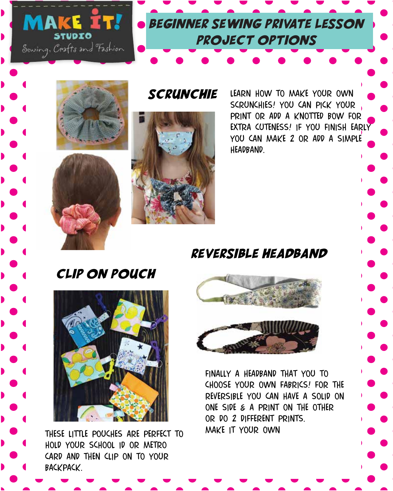





**SCRUNCHIE** 



learn how to make your own scrunchies! you can pick your print or add a knotted bow for extra cuteness! if you finish early YOU CAN MAKE 2 OR ADD A SIMPLE headband.

#### reversible headband

clip on pouch



these little pouches are perfect to hold your school id or metro card and then clip on to your backpack.



FINALLY A HEADBAND THAT YOU TO choose your own fabrics! for the reversible you can have a solid on one side & a print on the other or do 2 different prints. make it your own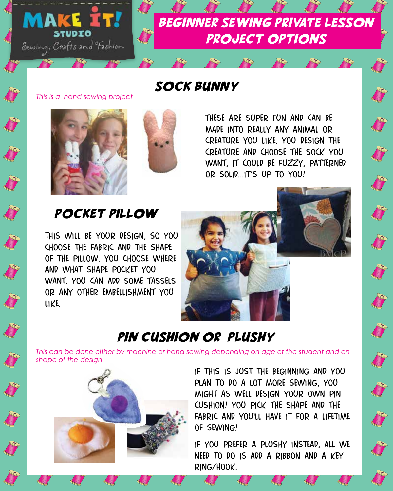

# Beginner sewing private lesson project options

#### sock bunny

*This is a hand sewing project*



Company of the Company of



these are super fun and can be made into really any animal or creature you like. you design the creature and choose the sock you want, it could be fuzzy, patterned OR SOLID... IT'S UP TO YOU!

#### pocket pillow

this will be your design, so you choose the fabric and the shape of the pillow. you choose where and what shape pocket you want. you can add some tassels or any other embellishment you like.



### pin cushion or plushy

*This can be done either by machine or hand sewing depending on age of the student and on shape of the design.*



if this is just the beginning and you plan to do a lot more sewing, you might as well design your own pin cushion! you pick the shape and the FABRIC AND YOU'LL HAVE IT FOR A LIFETIME of sewing!

if you prefer a plushy instead, all we need to do is add a ribbon and a key ring/hook.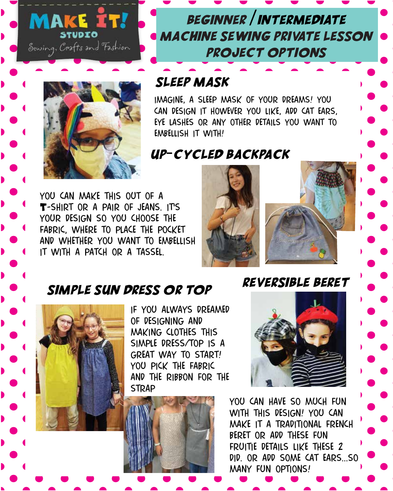



### Beginner /intermediate machine sewing private lesson project options

#### sleep mask

imagine, a sleep mask of your dreams! you can design it however you like, add cat ears, eye lashes or any other details you want to embellish it with!

#### up-cycled backpack

you can make this out of a T-SHIRT OR A PAIR OF JEANS. ITS your design so you choose the fabric, where to place the pocket and whether you want to embellish it with a patch or a tassel.





#### simple sun dress or top



if you always dreamed of designing and making clothes this simple dress/top is a great way to start! you pick the fabric and the ribbon for the **STRAP** 



Reversible Beret

you can have so much fun with this design! you can make it a traditional french beret or add these fun fruitie details like these 2 did. or add some cat ears...so many fun options!